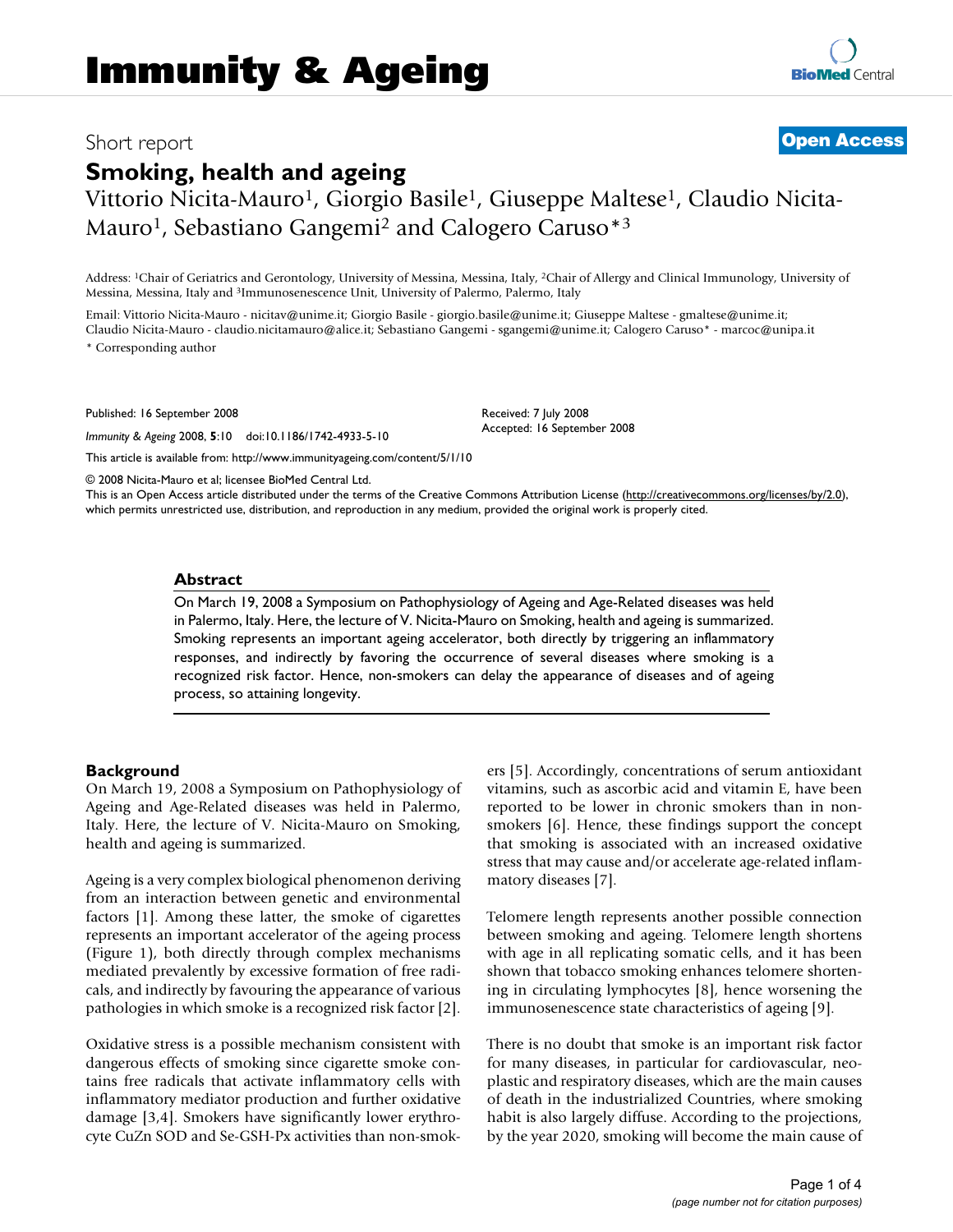# Short report **[Open Access](http://www.biomedcentral.com/info/about/charter/)**

Vittorio Nicita-Mauro<sup>1</sup>, Giorgio Basile<sup>1</sup>, Giuseppe Maltese<sup>1</sup>, Claudio Nicita-Mauro<sup>1</sup>, Sebastiano Gangemi<sup>2</sup> and Calogero Caruso<sup>\*3</sup>

Address: 1Chair of Geriatrics and Gerontology, University of Messina, Messina, Italy, 2Chair of Allergy and Clinical Immunology, University of Messina, Messina, Italy and 3Immunosenescence Unit, University of Palermo, Palermo, Italy

Email: Vittorio Nicita-Mauro - nicitav@unime.it; Giorgio Basile - giorgio.basile@unime.it; Giuseppe Maltese - gmaltese@unime.it; Claudio Nicita-Mauro - claudio.nicitamauro@alice.it; Sebastiano Gangemi - sgangemi@unime.it; Calogero Caruso\* - marcoc@unipa.it \* Corresponding author

Published: 16 September 2008

*Immunity & Ageing* 2008, **5**:10 doi:10.1186/1742-4933-5-10

[This article is available from: http://www.immunityageing.com/content/5/1/10](http://www.immunityageing.com/content/5/1/10)

© 2008 Nicita-Mauro et al; licensee BioMed Central Ltd.

This is an Open Access article distributed under the terms of the Creative Commons Attribution License [\(http://creativecommons.org/licenses/by/2.0\)](http://creativecommons.org/licenses/by/2.0), which permits unrestricted use, distribution, and reproduction in any medium, provided the original work is properly cited.

Received: 7 July 2008 Accepted: 16 September 2008

## **Abstract**

On March 19, 2008 a Symposium on Pathophysiology of Ageing and Age-Related diseases was held in Palermo, Italy. Here, the lecture of V. Nicita-Mauro on Smoking, health and ageing is summarized. Smoking represents an important ageing accelerator, both directly by triggering an inflammatory responses, and indirectly by favoring the occurrence of several diseases where smoking is a recognized risk factor. Hence, non-smokers can delay the appearance of diseases and of ageing process, so attaining longevity.

## **Background**

On March 19, 2008 a Symposium on Pathophysiology of Ageing and Age-Related diseases was held in Palermo, Italy. Here, the lecture of V. Nicita-Mauro on Smoking, health and ageing is summarized.

Ageing is a very complex biological phenomenon deriving from an interaction between genetic and environmental factors [1]. Among these latter, the smoke of cigarettes represents an important accelerator of the ageing process (Figure 1), both directly through complex mechanisms mediated prevalently by excessive formation of free radicals, and indirectly by favouring the appearance of various pathologies in which smoke is a recognized risk factor [2].

Oxidative stress is a possible mechanism consistent with dangerous effects of smoking since cigarette smoke contains free radicals that activate inflammatory cells with inflammatory mediator production and further oxidative damage [3,4]. Smokers have significantly lower erythrocyte CuZn SOD and Se-GSH-Px activities than non-smokers [5]. Accordingly, concentrations of serum antioxidant vitamins, such as ascorbic acid and vitamin E, have been reported to be lower in chronic smokers than in nonsmokers [6]. Hence, these findings support the concept that smoking is associated with an increased oxidative stress that may cause and/or accelerate age-related inflammatory diseases [7].

Telomere length represents another possible connection between smoking and ageing. Telomere length shortens with age in all replicating somatic cells, and it has been shown that tobacco smoking enhances telomere shortening in circulating lymphocytes [8], hence worsening the immunosenescence state characteristics of ageing [9].

There is no doubt that smoke is an important risk factor for many diseases, in particular for cardiovascular, neoplastic and respiratory diseases, which are the main causes of death in the industrialized Countries, where smoking habit is also largely diffuse. According to the projections, by the year 2020, smoking will become the main cause of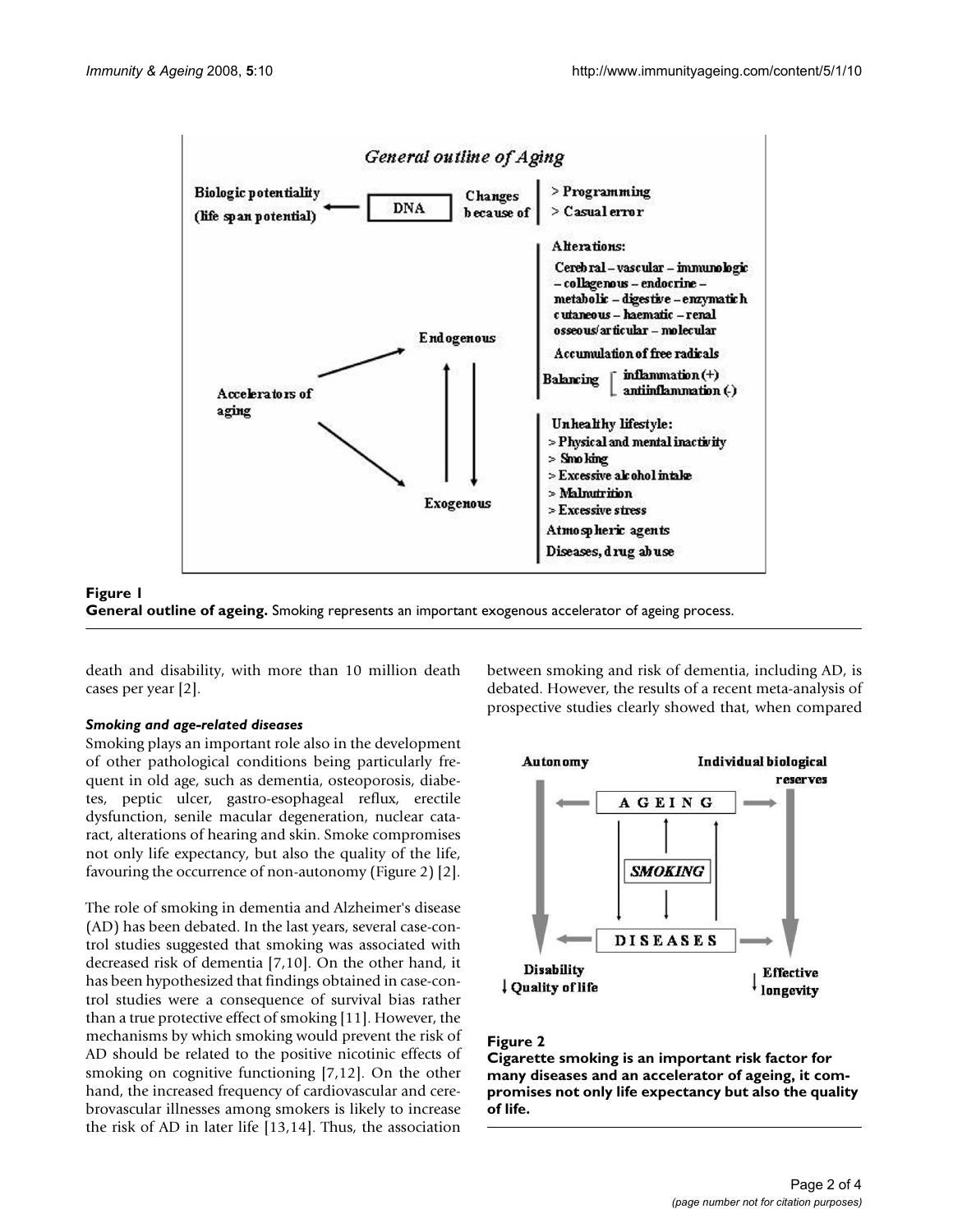



death and disability, with more than 10 million death cases per year [2].

## *Smoking and age-related diseases*

Smoking plays an important role also in the development of other pathological conditions being particularly frequent in old age, such as dementia, osteoporosis, diabetes, peptic ulcer, gastro-esophageal reflux, erectile dysfunction, senile macular degeneration, nuclear cataract, alterations of hearing and skin. Smoke compromises not only life expectancy, but also the quality of the life, favouring the occurrence of non-autonomy (Figure 2) [2].

The role of smoking in dementia and Alzheimer's disease (AD) has been debated. In the last years, several case-control studies suggested that smoking was associated with decreased risk of dementia [7,10]. On the other hand, it has been hypothesized that findings obtained in case-control studies were a consequence of survival bias rather than a true protective effect of smoking [11]. However, the mechanisms by which smoking would prevent the risk of AD should be related to the positive nicotinic effects of smoking on cognitive functioning [7,12]. On the other hand, the increased frequency of cardiovascular and cerebrovascular illnesses among smokers is likely to increase the risk of AD in later life [13,14]. Thus, the association

between smoking and risk of dementia, including AD, is debated. However, the results of a recent meta-analysis of prospective studies clearly showed that, when compared



### Figure 2

**Cigarette smoking is an important risk factor for many diseases and an accelerator of ageing, it compromises not only life expectancy but also the quality of life.**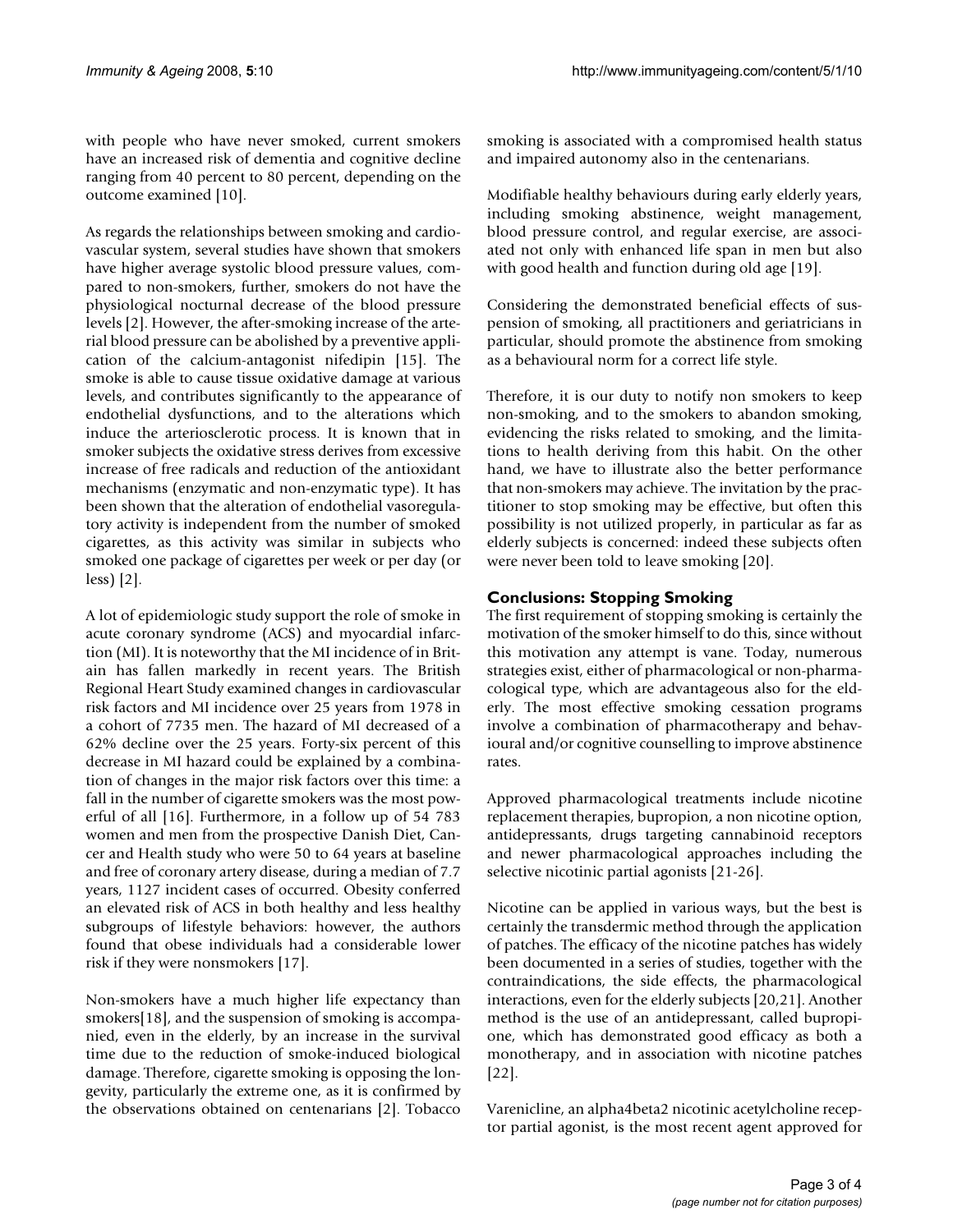with people who have never smoked, current smokers have an increased risk of dementia and cognitive decline ranging from 40 percent to 80 percent, depending on the outcome examined [10].

As regards the relationships between smoking and cardiovascular system, several studies have shown that smokers have higher average systolic blood pressure values, compared to non-smokers, further, smokers do not have the physiological nocturnal decrease of the blood pressure levels [2]. However, the after-smoking increase of the arterial blood pressure can be abolished by a preventive application of the calcium-antagonist nifedipin [15]. The smoke is able to cause tissue oxidative damage at various levels, and contributes significantly to the appearance of endothelial dysfunctions, and to the alterations which induce the arteriosclerotic process. It is known that in smoker subjects the oxidative stress derives from excessive increase of free radicals and reduction of the antioxidant mechanisms (enzymatic and non-enzymatic type). It has been shown that the alteration of endothelial vasoregulatory activity is independent from the number of smoked cigarettes, as this activity was similar in subjects who smoked one package of cigarettes per week or per day (or less) [2].

A lot of epidemiologic study support the role of smoke in acute coronary syndrome (ACS) and myocardial infarction (MI). It is noteworthy that the MI incidence of in Britain has fallen markedly in recent years. The British Regional Heart Study examined changes in cardiovascular risk factors and MI incidence over 25 years from 1978 in a cohort of 7735 men. The hazard of MI decreased of a 62% decline over the 25 years. Forty-six percent of this decrease in MI hazard could be explained by a combination of changes in the major risk factors over this time: a fall in the number of cigarette smokers was the most powerful of all [16]. Furthermore, in a follow up of 54 783 women and men from the prospective Danish Diet, Cancer and Health study who were 50 to 64 years at baseline and free of coronary artery disease, during a median of 7.7 years, 1127 incident cases of occurred. Obesity conferred an elevated risk of ACS in both healthy and less healthy subgroups of lifestyle behaviors: however, the authors found that obese individuals had a considerable lower risk if they were nonsmokers [17].

Non-smokers have a much higher life expectancy than smokers[18], and the suspension of smoking is accompanied, even in the elderly, by an increase in the survival time due to the reduction of smoke-induced biological damage. Therefore, cigarette smoking is opposing the longevity, particularly the extreme one, as it is confirmed by the observations obtained on centenarians [2]. Tobacco

smoking is associated with a compromised health status and impaired autonomy also in the centenarians.

Modifiable healthy behaviours during early elderly years, including smoking abstinence, weight management, blood pressure control, and regular exercise, are associated not only with enhanced life span in men but also with good health and function during old age [19].

Considering the demonstrated beneficial effects of suspension of smoking, all practitioners and geriatricians in particular, should promote the abstinence from smoking as a behavioural norm for a correct life style.

Therefore, it is our duty to notify non smokers to keep non-smoking, and to the smokers to abandon smoking, evidencing the risks related to smoking, and the limitations to health deriving from this habit. On the other hand, we have to illustrate also the better performance that non-smokers may achieve. The invitation by the practitioner to stop smoking may be effective, but often this possibility is not utilized properly, in particular as far as elderly subjects is concerned: indeed these subjects often were never been told to leave smoking [20].

## **Conclusions: Stopping Smoking**

The first requirement of stopping smoking is certainly the motivation of the smoker himself to do this, since without this motivation any attempt is vane. Today, numerous strategies exist, either of pharmacological or non-pharmacological type, which are advantageous also for the elderly. The most effective smoking cessation programs involve a combination of pharmacotherapy and behavioural and/or cognitive counselling to improve abstinence rates.

Approved pharmacological treatments include nicotine replacement therapies, bupropion, a non nicotine option, antidepressants, drugs targeting cannabinoid receptors and newer pharmacological approaches including the selective nicotinic partial agonists [21-26].

Nicotine can be applied in various ways, but the best is certainly the transdermic method through the application of patches. The efficacy of the nicotine patches has widely been documented in a series of studies, together with the contraindications, the side effects, the pharmacological interactions, even for the elderly subjects [20,21]. Another method is the use of an antidepressant, called bupropione, which has demonstrated good efficacy as both a monotherapy, and in association with nicotine patches [22].

Varenicline, an alpha4beta2 nicotinic acetylcholine receptor partial agonist, is the most recent agent approved for